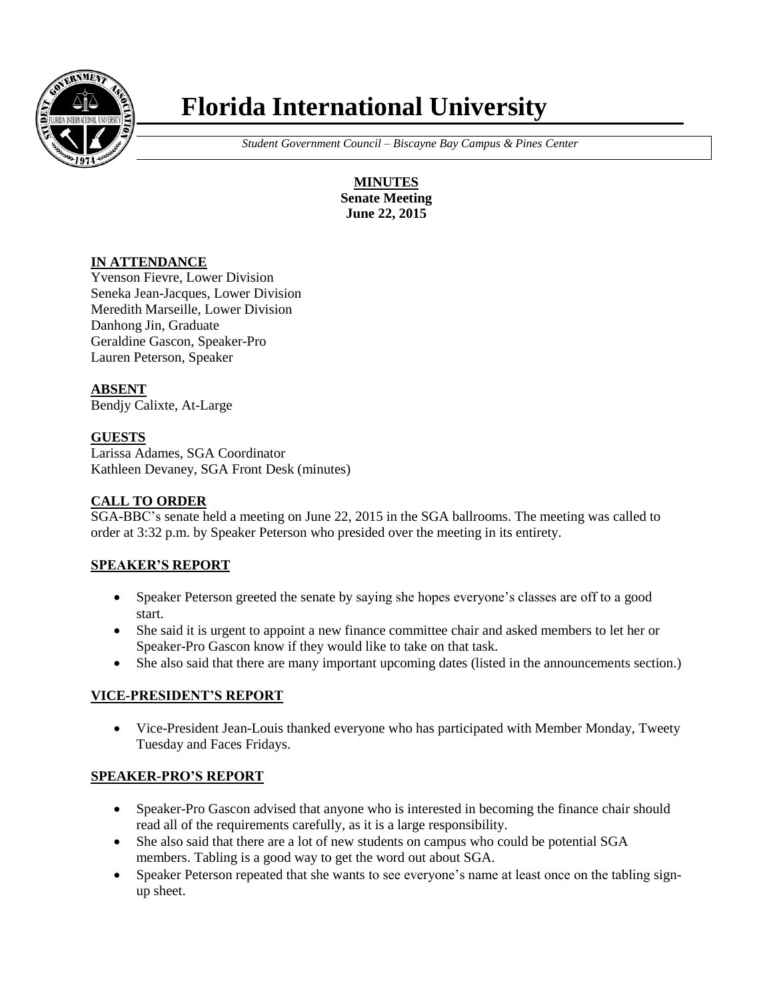

# **Florida International University**

 *Student Government Council – Biscayne Bay Campus & Pines Center*

**MINUTES Senate Meeting June 22, 2015**

#### **IN ATTENDANCE**

Yvenson Fievre, Lower Division Seneka Jean-Jacques, Lower Division Meredith Marseille, Lower Division Danhong Jin, Graduate Geraldine Gascon, Speaker-Pro Lauren Peterson, Speaker

**ABSENT**

Bendjy Calixte, At-Large

## **GUESTS**

Larissa Adames, SGA Coordinator Kathleen Devaney, SGA Front Desk (minutes)

#### **CALL TO ORDER**

SGA-BBC's senate held a meeting on June 22, 2015 in the SGA ballrooms. The meeting was called to order at 3:32 p.m. by Speaker Peterson who presided over the meeting in its entirety.

#### **SPEAKER'S REPORT**

- Speaker Peterson greeted the senate by saying she hopes everyone's classes are off to a good start.
- She said it is urgent to appoint a new finance committee chair and asked members to let her or Speaker-Pro Gascon know if they would like to take on that task.
- She also said that there are many important upcoming dates (listed in the announcements section.)

#### **VICE-PRESIDENT'S REPORT**

 Vice-President Jean-Louis thanked everyone who has participated with Member Monday, Tweety Tuesday and Faces Fridays.

#### **SPEAKER-PRO'S REPORT**

- Speaker-Pro Gascon advised that anyone who is interested in becoming the finance chair should read all of the requirements carefully, as it is a large responsibility.
- She also said that there are a lot of new students on campus who could be potential SGA members. Tabling is a good way to get the word out about SGA.
- Speaker Peterson repeated that she wants to see everyone's name at least once on the tabling signup sheet.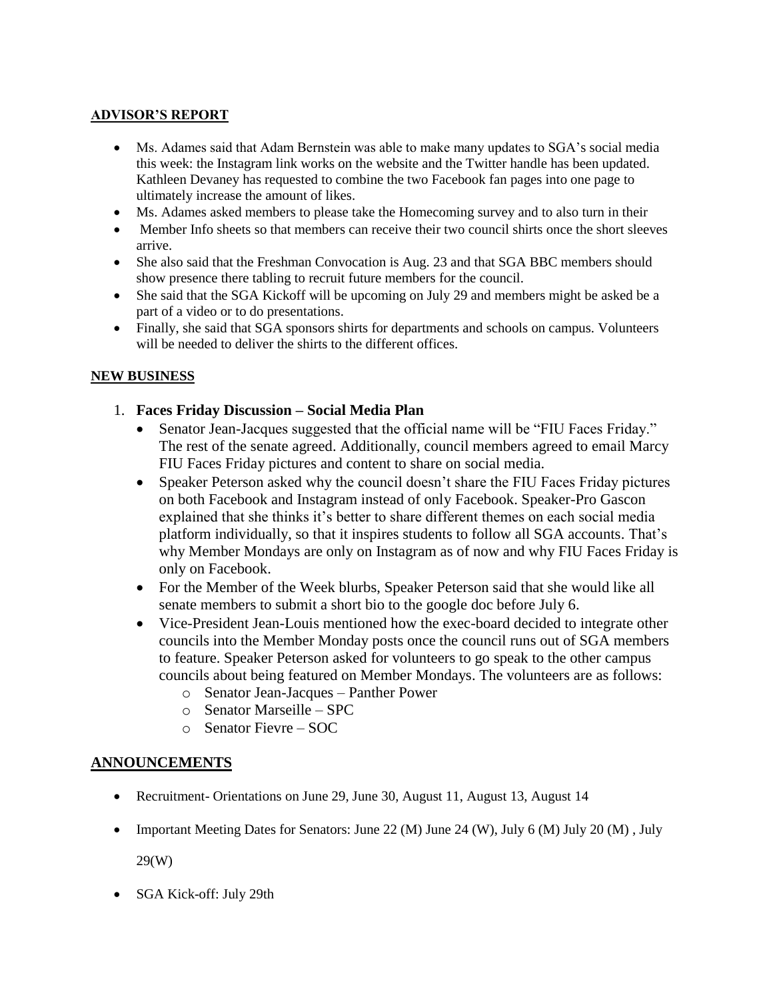# **ADVISOR'S REPORT**

- Ms. Adames said that Adam Bernstein was able to make many updates to SGA's social media this week: the Instagram link works on the website and the Twitter handle has been updated. Kathleen Devaney has requested to combine the two Facebook fan pages into one page to ultimately increase the amount of likes.
- Ms. Adames asked members to please take the Homecoming survey and to also turn in their
- Member Info sheets so that members can receive their two council shirts once the short sleeves arrive.
- She also said that the Freshman Convocation is Aug. 23 and that SGA BBC members should show presence there tabling to recruit future members for the council.
- She said that the SGA Kickoff will be upcoming on July 29 and members might be asked be a part of a video or to do presentations.
- Finally, she said that SGA sponsors shirts for departments and schools on campus. Volunteers will be needed to deliver the shirts to the different offices.

## **NEW BUSINESS**

- 1. **Faces Friday Discussion – Social Media Plan**
	- Senator Jean-Jacques suggested that the official name will be "FIU Faces Friday." The rest of the senate agreed. Additionally, council members agreed to email Marcy FIU Faces Friday pictures and content to share on social media.
	- Speaker Peterson asked why the council doesn't share the FIU Faces Friday pictures on both Facebook and Instagram instead of only Facebook. Speaker-Pro Gascon explained that she thinks it's better to share different themes on each social media platform individually, so that it inspires students to follow all SGA accounts. That's why Member Mondays are only on Instagram as of now and why FIU Faces Friday is only on Facebook.
	- For the Member of the Week blurbs, Speaker Peterson said that she would like all senate members to submit a short bio to the google doc before July 6.
	- Vice-President Jean-Louis mentioned how the exec-board decided to integrate other councils into the Member Monday posts once the council runs out of SGA members to feature. Speaker Peterson asked for volunteers to go speak to the other campus councils about being featured on Member Mondays. The volunteers are as follows:
		- o Senator Jean-Jacques Panther Power
		- o Senator Marseille SPC
		- o Senator Fievre SOC

# **ANNOUNCEMENTS**

- Recruitment- Orientations on June 29, June 30, August 11, August 13, August 14
- Important Meeting Dates for Senators: June 22 (M) June 24 (W), July 6 (M) July 20 (M), July

29(W)

SGA Kick-off: July 29th